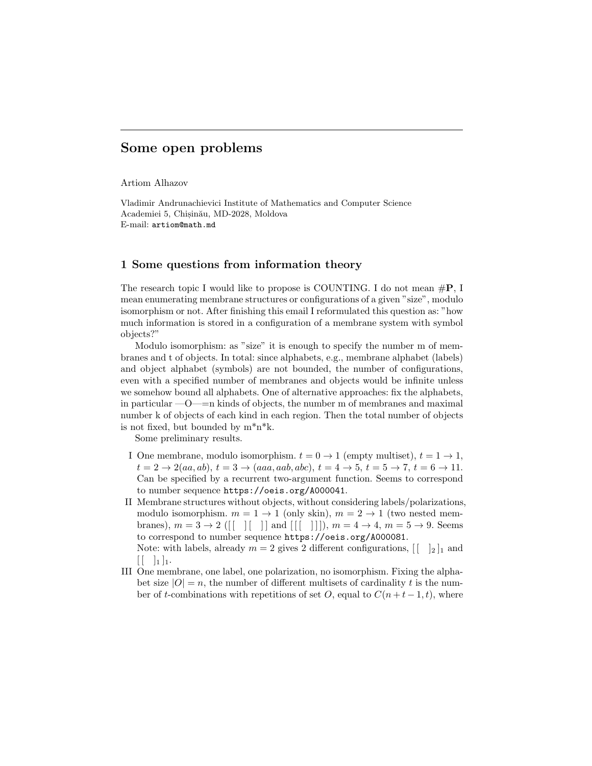# Some open problems

Artiom Alhazov

Vladimir Andrunachievici Institute of Mathematics and Computer Science Academiei 5, Chisinău, MD-2028, Moldova E-mail: artiom@math.md

# 1 Some questions from information theory

The research topic I would like to propose is COUNTING. I do not mean  $\#P$ , I mean enumerating membrane structures or configurations of a given "size", modulo isomorphism or not. After finishing this email I reformulated this question as: "how much information is stored in a configuration of a membrane system with symbol objects?"

Modulo isomorphism: as "size" it is enough to specify the number m of membranes and t of objects. In total: since alphabets, e.g., membrane alphabet (labels) and object alphabet (symbols) are not bounded, the number of configurations, even with a specified number of membranes and objects would be infinite unless we somehow bound all alphabets. One of alternative approaches: fix the alphabets, in particular  $-0$ — $=$ n kinds of objects, the number m of membranes and maximal number k of objects of each kind in each region. Then the total number of objects is not fixed, but bounded by  $m^*n^*k$ .

Some preliminary results.

- I One membrane, modulo isomorphism.  $t = 0 \rightarrow 1$  (empty multiset),  $t = 1 \rightarrow 1$ ,  $t = 2 \rightarrow 2(aa, ab), t = 3 \rightarrow (aaa, aab, abc), t = 4 \rightarrow 5, t = 5 \rightarrow 7, t = 6 \rightarrow 11.$ Can be specified by a recurrent two-argument function. Seems to correspond to number sequence https://oeis.org/A000041.
- II Membrane structures without objects, without considering labels/polarizations, modulo isomorphism.  $m = 1 \rightarrow 1$  (only skin),  $m = 2 \rightarrow 1$  (two nested membranes),  $m = 3 \rightarrow 2$  ([[ | | | | and [[[ | | | | ),  $m = 4 \rightarrow 4$ ,  $m = 5 \rightarrow 9$ . Seems to correspond to number sequence https://oeis.org/A000081. Note: with labels, already  $m = 2$  gives 2 different configurations,  $\begin{bmatrix} | & 1_2 | 1_1 \end{bmatrix}$  and
- $\begin{bmatrix} 1 & 1 \\ 1 & 1 \end{bmatrix}$ III One membrane, one label, one polarization, no isomorphism. Fixing the alphabet size  $|O|=n$ , the number of different multisets of cardinality t is the number of t-combinations with repetitions of set O, equal to  $C(n + t - 1, t)$ , where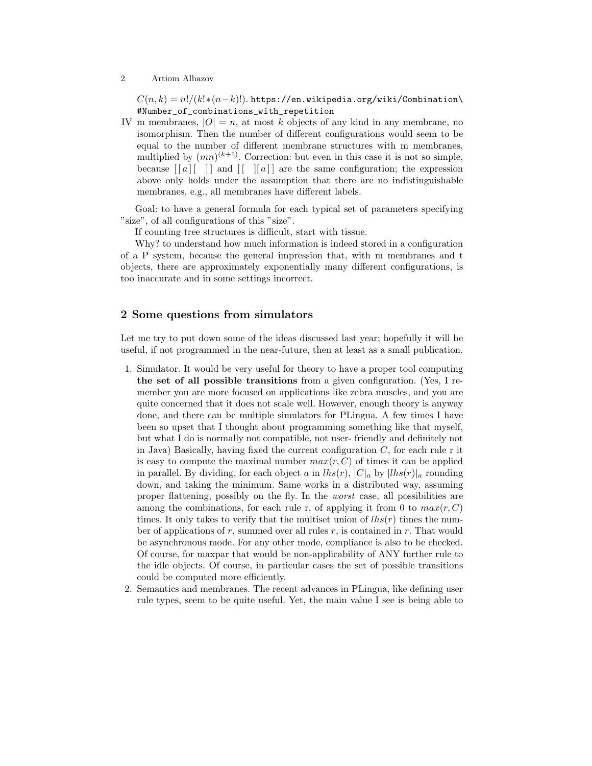### 2 Artiom Alhazov

 $C(n, k) = n!/(k!*(n-k)!)$ . https://en.wikipedia.org/wiki/Combination\ #Number\_of\_combinations\_with\_repetition

IV m membranes,  $|O| = n$ , at most k objects of any kind in any membrane, no isomorphism. Then the number of different configurations would seem to be equal to the number of different membrane structures with m membranes, multiplied by  $(mn)^{(k+1)}$ . Correction: but even in this case it is not so simple, because  $\left[ \begin{bmatrix} a \end{bmatrix} \begin{bmatrix} 1 \end{bmatrix} \right]$  and  $\left[ \begin{bmatrix} 1 & b \end{bmatrix} \right]$  are the same configuration; the expression above only holds under the assumption that there are no indistinguishable membranes, e.g., all membranes have different labels.

Goal: to have a general formula for each typical set of parameters specifying "size", of all configurations of this "size".

If counting tree structures is difficult, start with tissue.

Why? to understand how much information is indeed stored in a configuration of a P system, because the general impression that, with m membranes and t objects, there are approximately exponentially many different configurations, is too inaccurate and in some settings incorrect.

# 2 Some questions from simulators

Let me try to put down some of the ideas discussed last year; hopefully it will be useful, if not programmed in the near-future, then at least as a small publication.

- 1. Simulator. It would be very useful for theory to have a proper tool computing the set of all possible transitions from a given configuration. (Yes, I remember you are more focused on applications like zebra muscles, and you are quite concerned that it does not scale well. However, enough theory is anyway done, and there can be multiple simulators for PLingua. A few times I have been so upset that I thought about programming something like that myself, but what I do is normally not compatible, not user- friendly and definitely not in Java) Basically, having fixed the current configuration  $C$ , for each rule r it is easy to compute the maximal number  $max(r, C)$  of times it can be applied in parallel. By dividing, for each object a in  $lhs(r)$ ,  $|C|_a$  by  $|lhs(r)|_a$  rounding down, and taking the minimum. Same works in a distributed way, assuming proper flattening, possibly on the fly. In the worst case, all possibilities are among the combinations, for each rule r, of applying it from 0 to  $max(r, C)$ times. It only takes to verify that the multiset union of  $\ln s(r)$  times the number of applications of r, summed over all rules r, is contained in r. That would be asynchronous mode. For any other mode, compliance is also to be checked. Of course, for maxpar that would be non-applicability of ANY further rule to the idle objects. Of course, in particular cases the set of possible transitions could be computed more efficiently.
- 2. Semantics and membranes. The recent advances in PLingua, like defining user rule types, seem to be quite useful. Yet, the main value I see is being able to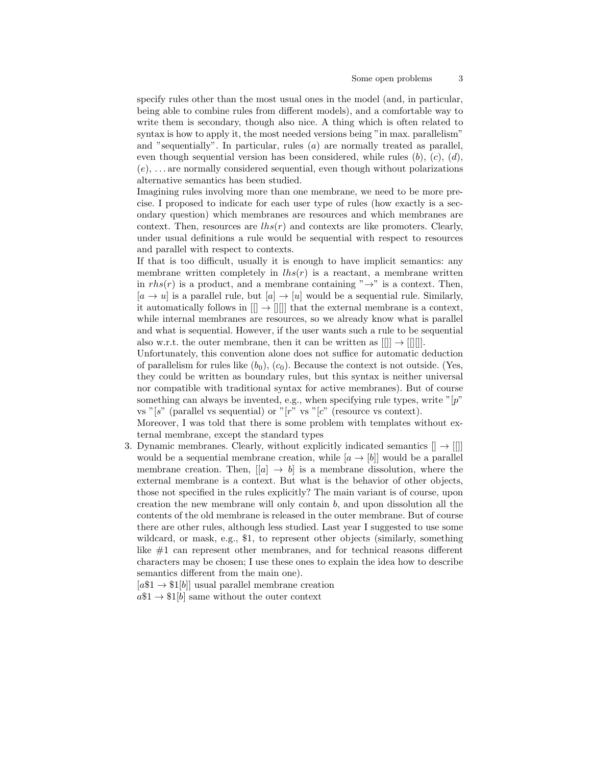specify rules other than the most usual ones in the model (and, in particular, being able to combine rules from different models), and a comfortable way to write them is secondary, though also nice. A thing which is often related to syntax is how to apply it, the most needed versions being "in max. parallelism" and "sequentially". In particular, rules (a) are normally treated as parallel, even though sequential version has been considered, while rules  $(b)$ ,  $(c)$ ,  $(d)$ ,  $(e), \ldots$  are normally considered sequential, even though without polarizations alternative semantics has been studied.

Imagining rules involving more than one membrane, we need to be more precise. I proposed to indicate for each user type of rules (how exactly is a secondary question) which membranes are resources and which membranes are context. Then, resources are lhs(r) and contexts are like promoters. Clearly, under usual definitions a rule would be sequential with respect to resources and parallel with respect to contexts.

If that is too difficult, usually it is enough to have implicit semantics: any membrane written completely in  $lhs(r)$  is a reactant, a membrane written in  $rhs(r)$  is a product, and a membrane containing " $\rightarrow$ " is a context. Then,  $[a \rightarrow u]$  is a parallel rule, but  $[a] \rightarrow [u]$  would be a sequential rule. Similarly, it automatically follows in  $[[] \to [[]]]$  that the external membrane is a context, while internal membranes are resources, so we already know what is parallel and what is sequential. However, if the user wants such a rule to be sequential also w.r.t. the outer membrane, then it can be written as  $[[\cdot]] \rightarrow [[\cdot]]$ .

Unfortunately, this convention alone does not suffice for automatic deduction of parallelism for rules like  $(b_0)$ ,  $(c_0)$ . Because the context is not outside. (Yes, they could be written as boundary rules, but this syntax is neither universal nor compatible with traditional syntax for active membranes). But of course something can always be invented, e.g., when specifying rule types, write  $\sqrt[p^n]{p^n}$ vs "[s" (parallel vs sequential) or "[r" vs "[c" (resource vs context).

Moreover, I was told that there is some problem with templates without external membrane, except the standard types

3. Dynamic membranes. Clearly, without explicitly indicated semantics  $[] \rightarrow []$ would be a sequential membrane creation, while  $[a \rightarrow [b]]$  would be a parallel membrane creation. Then,  $[[a] \rightarrow b]$  is a membrane dissolution, where the external membrane is a context. But what is the behavior of other objects, those not specified in the rules explicitly? The main variant is of course, upon creation the new membrane will only contain  $b$ , and upon dissolution all the contents of the old membrane is released in the outer membrane. But of course there are other rules, although less studied. Last year I suggested to use some wildcard, or mask, e.g., \$1, to represent other objects (similarly, something like #1 can represent other membranes, and for technical reasons different characters may be chosen; I use these ones to explain the idea how to describe semantics different from the main one).

 $[a$1 \rightarrow $1[b]]$  usual parallel membrane creation

 $a\$1 \rightarrow \$1[b]$  same without the outer context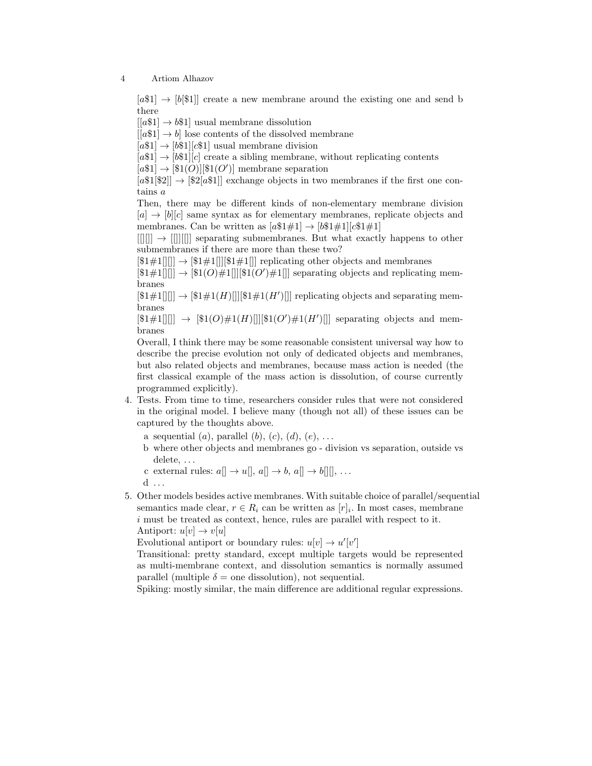4 Artiom Alhazov

 $[a31] \rightarrow [b31]$  create a new membrane around the existing one and send b there

 $[[a$1] \rightarrow b$1]$  usual membrane dissolution

 $[ [a$1] \rightarrow b]$  lose contents of the dissolved membrane

 $[a$1] \rightarrow [b$1][c$1]$  usual membrane division

 $[a$1] \rightarrow [b$1][c]$  create a sibling membrane, without replicating contents

 $[a$1] \rightarrow [\$1(O)][\$1(O')]$  membrane separation

 $[a$1[$2]] \rightarrow [$2[a$1]]$  exchange objects in two membranes if the first one contains a

Then, there may be different kinds of non-elementary membrane division  $[a] \rightarrow [b][c]$  same syntax as for elementary membranes, replicate objects and membranes. Can be written as  $[a$1#1] \rightarrow [b$1#1][c$1#1]$ 

 $[[1]] \rightarrow [[1]]$  separating submembranes. But what exactly happens to other submembranes if there are more than these two?

 $[141][1]] \rightarrow [141][1][141][1]$  replicating other objects and membranes

 $[\$1\#1]]$   $\rightarrow$   $[\$1(O)\#1]]$   $[\$1(O')\#1]]$  separating objects and replicating membranes

 $[$1\#1[]]] \rightarrow [$1\#1(H)]]][$1\#1(H')]]$  replicating objects and separating membranes

 $[\$1\#1$ [||]]  $\rightarrow$   $[\$1(O)\#1(H)$ [|| $[\$1(O')\#1(H')$ [|] separating objects and membranes

Overall, I think there may be some reasonable consistent universal way how to describe the precise evolution not only of dedicated objects and membranes, but also related objects and membranes, because mass action is needed (the first classical example of the mass action is dissolution, of course currently programmed explicitly).

- 4. Tests. From time to time, researchers consider rules that were not considered in the original model. I believe many (though not all) of these issues can be captured by the thoughts above.
	- a sequential  $(a)$ , parallel  $(b)$ ,  $(c)$ ,  $(d)$ ,  $(e)$ , ...
	- b where other objects and membranes go division vs separation, outside vs delete, . . .
	- c external rules:  $a \rceil \rightharpoonup u \rceil, a \rceil \rightharpoonup b, a \rceil \rightharpoonup b \rceil \rceil, \ldots$
	- $d \ldots$
- 5. Other models besides active membranes. With suitable choice of parallel/sequential semantics made clear,  $r \in R_i$  can be written as  $[r]_i$ . In most cases, membrane i must be treated as context, hence, rules are parallel with respect to it. Antiport:  $u[v] \rightarrow v[u]$

Evolutional antiport or boundary rules:  $u[v] \rightarrow u'[v']$ 

Transitional: pretty standard, except multiple targets would be represented as multi-membrane context, and dissolution semantics is normally assumed parallel (multiple  $\delta$  = one dissolution), not sequential.

Spiking: mostly similar, the main difference are additional regular expressions.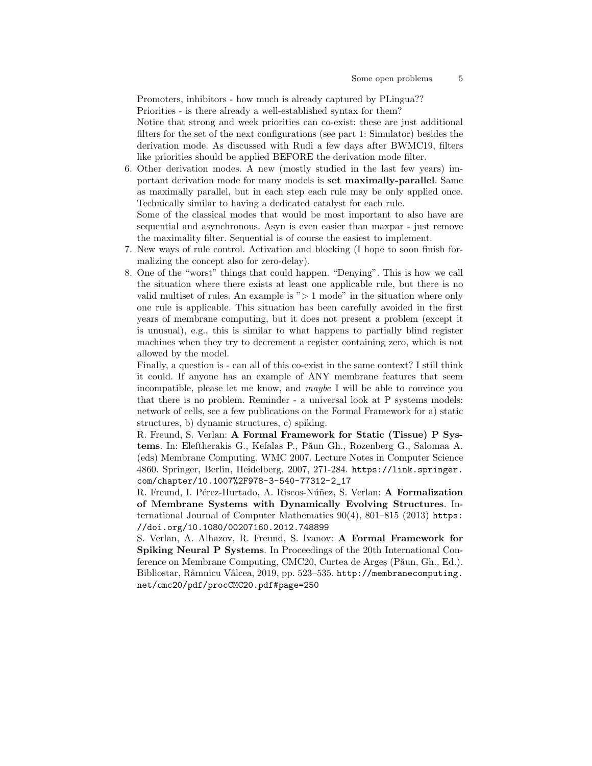Promoters, inhibitors - how much is already captured by PLingua?? Priorities - is there already a well-established syntax for them? Notice that strong and week priorities can co-exist: these are just additional filters for the set of the next configurations (see part 1: Simulator) besides the derivation mode. As discussed with Rudi a few days after BWMC19, filters like priorities should be applied BEFORE the derivation mode filter.

- 6. Other derivation modes. A new (mostly studied in the last few years) important derivation mode for many models is set maximally-parallel. Same as maximally parallel, but in each step each rule may be only applied once. Technically similar to having a dedicated catalyst for each rule. Some of the classical modes that would be most important to also have are sequential and asynchronous. Asyn is even easier than maxpar - just remove
- the maximality filter. Sequential is of course the easiest to implement. 7. New ways of rule control. Activation and blocking (I hope to soon finish formalizing the concept also for zero-delay).
- 8. One of the "worst" things that could happen. "Denying". This is how we call the situation where there exists at least one applicable rule, but there is no valid multiset of rules. An example is " $> 1$  mode" in the situation where only one rule is applicable. This situation has been carefully avoided in the first years of membrane computing, but it does not present a problem (except it is unusual), e.g., this is similar to what happens to partially blind register machines when they try to decrement a register containing zero, which is not allowed by the model.

Finally, a question is - can all of this co-exist in the same context? I still think it could. If anyone has an example of ANY membrane features that seem incompatible, please let me know, and maybe I will be able to convince you that there is no problem. Reminder - a universal look at P systems models: network of cells, see a few publications on the Formal Framework for a) static structures, b) dynamic structures, c) spiking.

R. Freund, S. Verlan: A Formal Framework for Static (Tissue) P Systems. In: Eleftherakis G., Kefalas P., Păun Gh., Rozenberg G., Salomaa A. (eds) Membrane Computing. WMC 2007. Lecture Notes in Computer Science 4860. Springer, Berlin, Heidelberg, 2007, 271-284. https://link.springer. com/chapter/10.1007%2F978-3-540-77312-2\_17

R. Freund, I. Pérez-Hurtado, A. Riscos-Núñez, S. Verlan: **A Formalization** of Membrane Systems with Dynamically Evolving Structures. International Journal of Computer Mathematics 90(4), 801–815 (2013) https: //doi.org/10.1080/00207160.2012.748899

S. Verlan, A. Alhazov, R. Freund, S. Ivanov: A Formal Framework for Spiking Neural P Systems. In Proceedings of the 20th International Conference on Membrane Computing, CMC20, Curtea de Arges (Păun, Gh., Ed.). Bibliostar, Râmnicu Vâlcea, 2019, pp. 523–535. http://membranecomputing. net/cmc20/pdf/procCMC20.pdf#page=250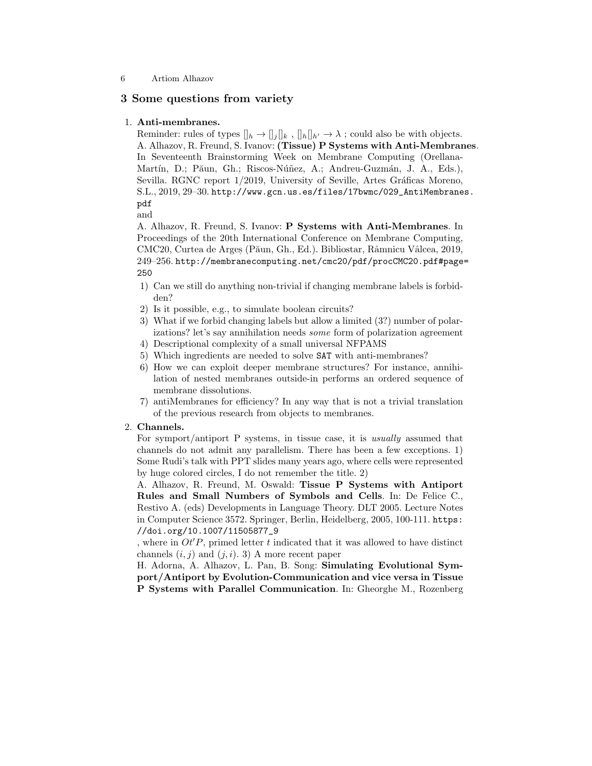# 3 Some questions from variety

#### 1. Anti-membranes.

Reminder: rules of types  $\|_h \to \|_j \|_k$ ,  $\|_h\|_{h'} \to \lambda$ ; could also be with objects. A. Alhazov, R. Freund, S. Ivanov: (Tissue) P Systems with Anti-Membranes. In Seventeenth Brainstorming Week on Membrane Computing (Orellana-Martín, D.; Păun, Gh.; Riscos-Núñez, A.; Andreu-Guzmán, J. A., Eds.), Sevilla. RGNC report 1/2019, University of Seville, Artes Gráficas Moreno, S.L., 2019, 29–30. http://www.gcn.us.es/files/17bwmc/029\_AntiMembranes. pdf

and

A. Alhazov, R. Freund, S. Ivanov: P Systems with Anti-Membranes. In Proceedings of the 20th International Conference on Membrane Computing, CMC20, Curtea de Arges (Păun, Gh., Ed.). Bibliostar, Râmnicu Vâlcea, 2019, 249–256. http://membranecomputing.net/cmc20/pdf/procCMC20.pdf#page= 250

- 1) Can we still do anything non-trivial if changing membrane labels is forbidden?
- 2) Is it possible, e.g., to simulate boolean circuits?
- 3) What if we forbid changing labels but allow a limited (3?) number of polarizations? let's say annihilation needs some form of polarization agreement
- 4) Descriptional complexity of a small universal NFPAMS
- 5) Which ingredients are needed to solve SAT with anti-membranes?
- 6) How we can exploit deeper membrane structures? For instance, annihilation of nested membranes outside-in performs an ordered sequence of membrane dissolutions.
- 7) antiMembranes for efficiency? In any way that is not a trivial translation of the previous research from objects to membranes.

## 2. Channels.

For symport/antiport P systems, in tissue case, it is usually assumed that channels do not admit any parallelism. There has been a few exceptions. 1) Some Rudi's talk with PPT slides many years ago, where cells were represented by huge colored circles, I do not remember the title. 2)

A. Alhazov, R. Freund, M. Oswald: Tissue P Systems with Antiport Rules and Small Numbers of Symbols and Cells. In: De Felice C., Restivo A. (eds) Developments in Language Theory. DLT 2005. Lecture Notes in Computer Science 3572. Springer, Berlin, Heidelberg, 2005, 100-111. https: //doi.org/10.1007/11505877\_9

, where in  $Ot'P$ , primed letter t indicated that it was allowed to have distinct channels  $(i, j)$  and  $(j, i)$ . 3) A more recent paper

H. Adorna, A. Alhazov, L. Pan, B. Song: Simulating Evolutional Symport/Antiport by Evolution-Communication and vice versa in Tissue P Systems with Parallel Communication. In: Gheorghe M., Rozenberg

<sup>6</sup> Artiom Alhazov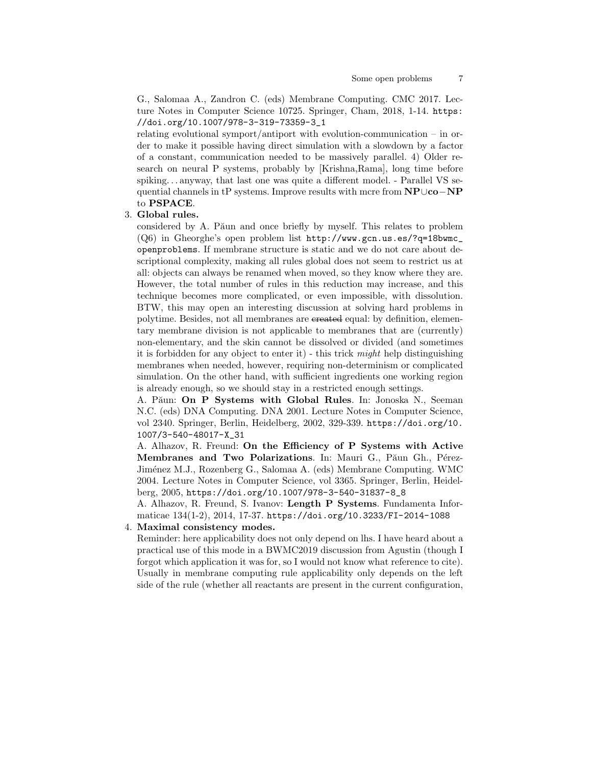G., Salomaa A., Zandron C. (eds) Membrane Computing. CMC 2017. Lecture Notes in Computer Science 10725. Springer, Cham, 2018, 1-14. https: //doi.org/10.1007/978-3-319-73359-3\_1

relating evolutional symport/antiport with evolution-communication – in order to make it possible having direct simulation with a slowdown by a factor of a constant, communication needed to be massively parallel. 4) Older research on neural P systems, probably by [Krishna,Rama], long time before spiking. . . anyway, that last one was quite a different model. - Parallel VS sequential channels in tP systems. Improve results with mcre from NP∪co−NP to PSPACE.

#### 3. Global rules.

considered by A. Păun and once briefly by myself. This relates to problem (Q6) in Gheorghe's open problem list http://www.gcn.us.es/?q=18bwmc\_ openproblems. If membrane structure is static and we do not care about descriptional complexity, making all rules global does not seem to restrict us at all: objects can always be renamed when moved, so they know where they are. However, the total number of rules in this reduction may increase, and this technique becomes more complicated, or even impossible, with dissolution. BTW, this may open an interesting discussion at solving hard problems in polytime. Besides, not all membranes are created equal: by definition, elementary membrane division is not applicable to membranes that are (currently) non-elementary, and the skin cannot be dissolved or divided (and sometimes it is forbidden for any object to enter it) - this trick might help distinguishing membranes when needed, however, requiring non-determinism or complicated simulation. On the other hand, with sufficient ingredients one working region is already enough, so we should stay in a restricted enough settings.

A. Păun: On P Systems with Global Rules. In: Jonoska N., Seeman N.C. (eds) DNA Computing. DNA 2001. Lecture Notes in Computer Science, vol 2340. Springer, Berlin, Heidelberg, 2002, 329-339. https://doi.org/10. 1007/3-540-48017-X\_31

A. Alhazov, R. Freund: On the Efficiency of P Systems with Active Membranes and Two Polarizations. In: Mauri G., Păun Gh., Pérez-Jim´enez M.J., Rozenberg G., Salomaa A. (eds) Membrane Computing. WMC 2004. Lecture Notes in Computer Science, vol 3365. Springer, Berlin, Heidelberg, 2005, https://doi.org/10.1007/978-3-540-31837-8\_8

A. Alhazov, R. Freund, S. Ivanov: Length P Systems. Fundamenta Informaticae 134(1-2), 2014, 17-37. https://doi.org/10.3233/FI-2014-1088

# 4. Maximal consistency modes.

Reminder: here applicability does not only depend on lhs. I have heard about a practical use of this mode in a BWMC2019 discussion from Agustin (though I forgot which application it was for, so I would not know what reference to cite). Usually in membrane computing rule applicability only depends on the left side of the rule (whether all reactants are present in the current configuration,